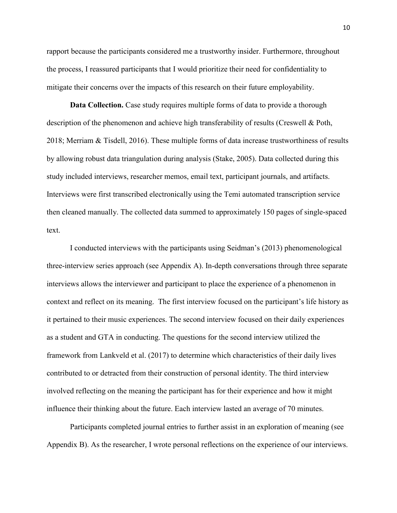rapport because the participants considered me a trustworthy insider. Furthermore, throughout the process, I reassured participants that I would prioritize their need for confidentiality to mitigate their concerns over the impacts of this research on their future employability.

 **Data Collection.** Case study requires multiple forms of data to provide a thorough description of the phenomenon and achieve high transferability of results (Creswell & Poth, 2018; Merriam & Tisdell, 2016). These multiple forms of data increase trustworthiness of results by allowing robust data triangulation during analysis (Stake, 2005). Data collected during this study included interviews, researcher memos, email text, participant journals, and artifacts. Interviews were first transcribed electronically using the Temi automated transcription service then cleaned manually. The collected data summed to approximately 150 pages of single-spaced text. ust data transpluation during analysis (stake, 2005).<br>
Interviews, researcher memos, email text, participant<br>
first transcribed electronically using the Temi autom<br>
unually. The collected data summed to approximately<br>
ted

 I conducted interviews with the participants using Seidman's (2013) phenomenological three-interview series approach (see Appendix A). In-depth conversations through three separate interviews allows the interviewer and participant to place the experience of a phenomenon in context and reflect on its meaning. The first interview focused on the participant's life history as it pertained to their music experiences. The second interview focused on their daily experiences as a student and GTA in conducting. The questions for the second interview utilized the framework from Lankveld et al. (2017) to determine which characteristics of their daily lives contributed to or detracted from their construction of personal identity. The third interview involved reflecting on the meaning the participant has for their experience and how it might influence their thinking about the future. Each interview lasted an average of 70 minutes. cribed electronically using the Temi automated tr<br>ne collected data summed to approximately 150 pa<br>iews with the participants using Seidman's (2013)<br>roach (see Appendix A). In-depth conversations therefore and participant extransies are memos, email text, participant journals, and artifacts.<br>
Est transcribed electronically using the Temi automated transcription service<br>
ally. The collected data summed to approximately 150 pages of single-sp

 Participants completed journal entries to further assist in an exploration of meaning (see Appendix B). As the researcher, I wrote personal reflections on the experience of our interviews.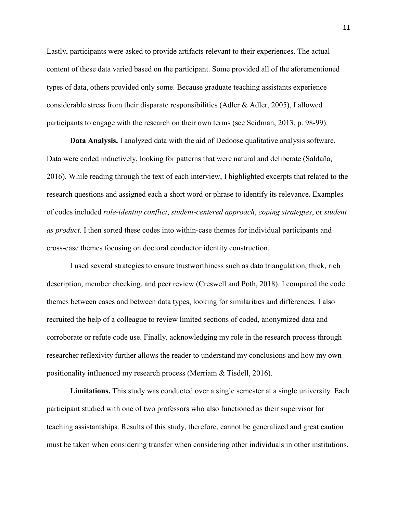Lastly, participants were asked to provide artifacts relevant to their experiences. The actual content of these data varied based on the participant. Some provided all of the aforementioned types of data, others provided only some. Because graduate teaching assistants experience considerable stress from their disparate responsibilities (Adler & Adler, 2005), I allowed participants to engage with the research on their own terms (see Seidman, 2013, p. 98-99).

**Data Analysis.** I analyzed data with the aid of Dedoose qualitative analysis software. Data were coded inductively, looking for patterns that were natural and deliberate (Saldaña, 2016). While reading through the text of each interview, I highlighted excerpts that related to the research questions and assigned each a short word or phrase to identify its relevance. Examples of codes included *role-identity conflict*, *student-centered approach*, *coping strategies*, or *student as product*. I then sorted these codes into within-case themes for individual participants and cross-case themes focusing on doctoral conductor identity construction. ading through the text of each interview, I highlighted ading through the text of each interview, I highlighted and assigned each a short word or phrase to ident the dread role-identity conflict, student-centered approach,

 I used several strategies to ensure trustworthiness such as data triangulation, thick, rich description, member checking, and peer review (Creswell and Poth, 2018). I compared the code themes between cases and between data types, looking for similarities and differences. I also recruited the help of a colleague to review limited sections of coded, anonymized data and corroborate or refute code use. Finally, acknowledging my role in the research process through researcher reflexivity further allows the reader to understand my conclusions and how my own positionality influenced my research process (Merriam & Tisdell, 2016). igned each a short word or phrase to identify its r<br>mtity conflict, student-centered approach, coping<br>nese codes into within-case themes for individual<br>g on doctoral conductor identity construction.<br>egies to ensure trustwo ing through the text of each interview, I highlighted excerpts that related to the<br>and assigned each a short word or phrase to identify its relevance. Examples<br>role-identity conflict, student-centered approach, coping stra

Limitations. This study was conducted over a single semester at a single university. Each participant studied with one of two professors who also functioned as their supervisor for teaching assistantships. Results of this study, therefore, cannot be generalized and great caution must be taken when considering transfer when considering other individuals in other institutions.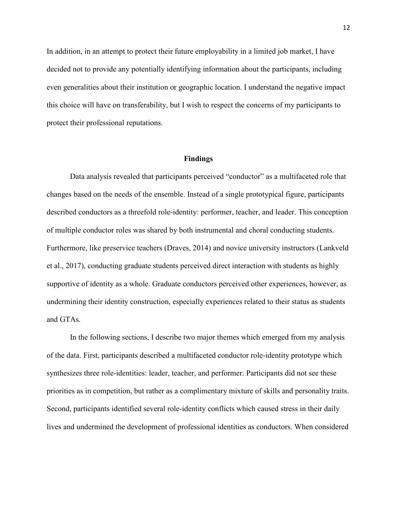In addition, in an attempt to protect their future employability in a limited job market, I have decided not to provide any potentially identifying information about the participants, including even generalities about their institution or geographic location. I understand the negative impact this choice will have on transferability, but I wish to respect the concerns of my participants to protect their professional reputations.

# **Findings**

Data analysis revealed that participants perceived "conductor" as a multifaceted role that changes based on the needs of the ensemble. Instead of a single prototypical figure, participants described conductors as a threefold role-identity: performer, teacher, and leader. This conception of multiple conductor roles was shared by both instrumental and choral conducting students. Furthermore, like preservice teachers (Draves, 2014) and novice university instructors (Lankveld et al., 2017), conducting graduate students perceived direct interaction with students as highly supportive of identity as a whole. Graduate conductors perceived other experiences, however, as undermining their identity construction, especially experiences related to their status as students and GTAs. Final and Salysis revealed that participants perceived "conductors"<br>
on the needs of the ensemble. Instead of a single protectors as a threefold role-identity: performer, teacher.<br>
ductor roles was shared by both instrumen Is of the ensemble. Instead of a single prototypica<br>threefold role-identity: performer, teacher, and le<br>s was shared by both instrumental and choral con<br>ce teachers (Draves, 2014) and novice university<br>raduate students per sis revealed that participants perceived "conductor" as a multifaceted role that<br>the needs of the ensemble. Instead of a single prototypical figure, participants<br>ors as a threefold role-identity: performer, teacher, and le

In the following sections, I describe two major themes which emerged from my analysis of the data. First, participants described a multifaceted conductor role-identity prototype which synthesizes three role-identities: leader, teacher, and performer. Participants did not see these priorities as in competition, but rather as a complimentary mixture of skills and personality traits. Second, participants identified several role-identity conflicts which caused stress in their daily lives and undermined the development of professional identities as conductors. When considered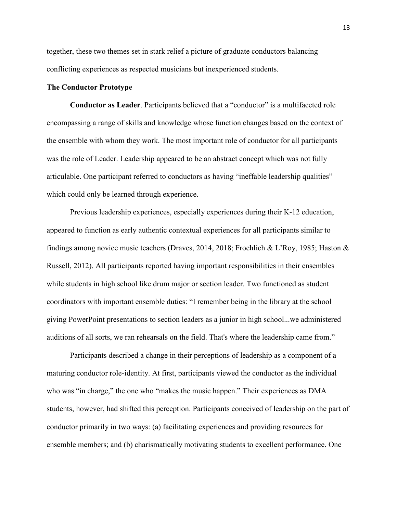together, these two themes set in stark relief a picture of graduate conductors balancing conflicting experiences as respected musicians but inexperienced students.

## **The Conductor Prototype**

**Conductor as Leader**. Participants believed that a "conductor" is a multifaceted role encompassing a range of skills and knowledge whose function changes based on the context of the ensemble with whom they work. The most important role of conductor for all participants was the role of Leader. Leadership appeared to be an abstract concept which was not fully articulable. One participant referred to conductors as having "ineffable leadership qualities" which could only be learned through experience.

Previous leadership experiences, especially experiences during their K-12 education, appeared to function as early authentic contextual experiences for all participants similar to findings among novice music teachers (Draves, 2014, 2018; Froehlich & L'Roy, 1985; Haston & Russell, 2012). All participants reported having important responsibilities in their ensembles while students in high school like drum major or section leader. Two functioned as student coordinators with important ensemble duties: "I remember being in the library at the school giving PowerPoint presentations to section leaders as a junior in high school...we administered auditions of all sorts, we ran rehearsals on the field. That's where the leadership came from." Leader. Leadership appeared to be an abstract conceptractic participant referred to conductors as having "ineffalty be learned through experience.<br>
Eleadership experiences, especially experiences during tion as early authe ed through experience.<br>
p experiences, especially experiences during their<br>
rly authentic contextual experiences for all partici<br>
usic teachers (Draves, 2014, 2018; Froehlich & L:<br>
pants reported having important responsib Interior and the participant referred to conductors as having "ineffable leadership qualities"<br>
be learned through experience.<br>
adership experiences, especially experiences during their K-12 education,<br>
on as carly authent

Participants described a change in their perceptions of leadership as a component of a maturing conductor role-identity. At first, participants viewed the conductor as the individual who was "in charge," the one who "makes the music happen." Their experiences as DMA students, however, had shifted this perception. Participants conceived of leadership on the part of conductor primarily in two ways: (a) facilitating experiences and providing resources for ensemble members; and (b) charismatically motivating students to excellent performance. One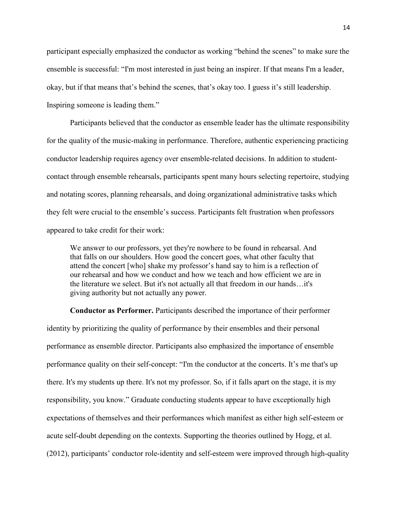participant especially emphasized the conductor as working "behind the scenes" to make sure the ensemble is successful: "I'm most interested in just being an inspirer. If that means I'm a leader, okay, but if that means that's behind the scenes, that's okay too. I guess it's still leadership. Inspiring someone is leading them."

Participants believed that the conductor as ensemble leader has the ultimate responsibility for the quality of the music-making in performance. Therefore, authentic experiencing practicing conductor leadership requires agency over ensemble-related decisions. In addition to studentcontact through ensemble rehearsals, participants spent many hours selecting repertoire, studying and notating scores, planning rehearsals, and doing organizational administrative tasks which they felt were crucial to the ensemble's success. Participants felt frustration when professors appeared to take credit for their work: Frame requires agency over ensemble-related decision<br>ensemble rehearsals, participants spent many hours<br>orres, planning rehearsals, and doing organizational ac<br>arucial to the ensemble's success. Participants felt frus<br>exer

We answer to our professors, yet they're nowhere to be found in rehearsal. And that falls on our shoulders. How good the concert goes, what other faculty that attend the concert [who] shake my professor's hand say to him is a reflection of our rehearsal and how we conduct and how we teach and how efficient we are in the literature we select. But it's not actually all that freedom in our hands…it's giving authority but not actually any power. ing rehearsals, and doing organizational administ<br>
e ensemble's success. Participants felt frustration<br>
their work:<br>
professors, yet they're nowhere to be found in reh<br>
oulders. How good the concert goes, what other f<br>
[wh

**Conductor as Performer.** Participants described the importance of their performer identity by prioritizing the quality of performance by their ensembles and their personal performance as ensemble director. Participants also emphasized the importance of ensemble performance quality on their self-concept: "I'm the conductor at the concerts. It's me that's up there. It's my students up there. It's not my professor. So, if it falls apart on the stage, it is my responsibility, you know." Graduate conducting students appear to have exceptionally high expectations of themselves and their performances which manifest as either high self-esteem or acute self-doubt depending on the contexts. Supporting the theories outlined by Hogg, et al. (2012), participants' conductor role-identity and self-esteem were improved through high-quality semble rehearsals, participants spent many hours selecting repertoire, studying<br>s, planning rehearsals, and doing organizational administrative tasks which<br>ial to the ensemble's success. Participants felt frustration when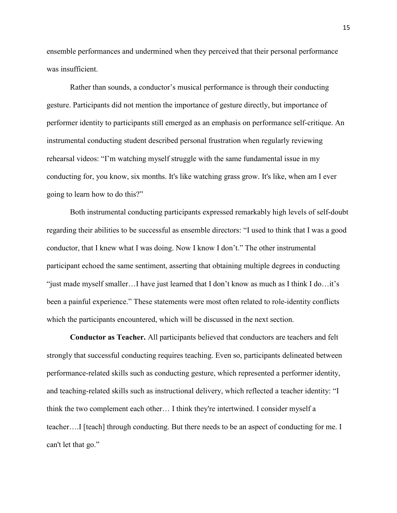ensemble performances and undermined when they perceived that their personal performance was insufficient.

Rather than sounds, a conductor's musical performance is through their conducting gesture. Participants did not mention the importance of gesture directly, but importance of performer identity to participants still emerged as an emphasis on performance self-critique. An instrumental conducting student described personal frustration when regularly reviewing rehearsal videos: "I'm watching myself struggle with the same fundamental issue in my conducting for, you know, six months. It's like watching grass grow. It's like, when am I ever going to learn how to do this?"

Both instrumental conducting participants expressed remarkably high levels of self-doubt regarding their abilities to be successful as ensemble directors: "I used to think that I was a good conductor, that I knew what I was doing. Now I know I don't." The other instrumental participant echoed the same sentiment, asserting that obtaining multiple degrees in conducting "just made myself smaller...I have just learned that I don't know as much as I think I do...it's been a painful experience." These statements were most often related to role-identity conflicts which the participants encountered, which will be discussed in the next section. Example 18 The Watching mysel struggle with the same fundation<br>you know, six months. It's like watching grass grow.<br>trumental conducting participants expressed remarks<br>abilities to be successful as ensemble directors: "I u his?"<br>
conducting participants expressed remarkably hig<br>
be successful as ensemble directors: "I used to th<br>
at I was doing. Now I know I don't." The other in<br>
ne sentiment, asserting that obtaining multiple deg<br>
......... U know, six months. It's like watching grass grow. It's like, when am I ever<br>
to do this?"<br>
to do this?"<br>
mental conducting participants expressed remarkably high levels of self-doubt<br>
lities to be successful as ensemble d

**Conductor as Teacher.** All participants believed that conductors are teachers and felt strongly that successful conducting requires teaching. Even so, participants delineated between performance-related skills such as conducting gesture, which represented a performer identity, and teaching-related skills such as instructional delivery, which reflected a teacher identity: "I think the two complement each other… I think they're intertwined. I consider myself a teacher….I [teach] through conducting. But there needs to be an aspect of conducting for me. I can't let that go."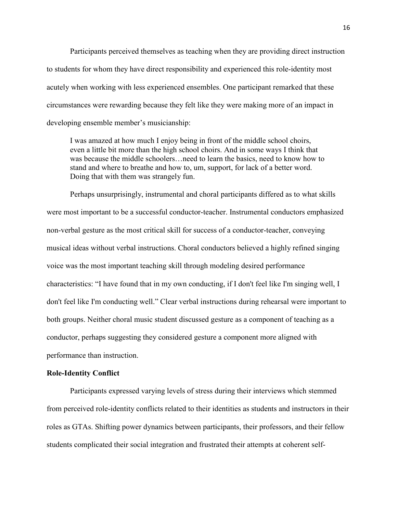Participants perceived themselves as teaching when they are providing direct instruction to students for whom they have direct responsibility and experienced this role-identity most acutely when working with less experienced ensembles. One participant remarked that these circumstances were rewarding because they felt like they were making more of an impact in developing ensemble member's musicianship:

I was amazed at how much I enjoy being in front of the middle school choirs, even a little bit more than the high school choirs. And in some ways I think that was because the middle schoolers…need to learn the basics, need to know how to stand and where to breathe and how to, um, support, for lack of a better word. Doing that with them was strangely fun.

Perhaps unsurprisingly, instrumental and choral participants differed as to what skills were most important to be a successful conductor-teacher. Instrumental conductors emphasized non-verbal gesture as the most critical skill for success of a conductor-teacher, conveying musical ideas without verbal instructions. Choral conductors believed a highly refined singing voice was the most important teaching skill through modeling desired performance characteristics: "I have found that in my own conducting, if I don't feel like I'm singing well, I don't feel like I'm conducting well." Clear verbal instructions during rehearsal were important to both groups. Neither choral music student discussed gesture as a component of teaching as a conductor, perhaps suggesting they considered gesture a component more aligned with performance than instruction. also the middle schoolers....need to learn the basics,<br>d where to breathe and how to, um, support, for lack<br>at with them was strangely fun.<br>unsurprisingly, instrumental and choral participants<br>rtant to be a successful cond mgly, instrumental and choral participants differed a successful conductor-teacher. Instrumental com<br>most critical skill for success of a conductor-teacher<br>bal instructions. Choral conductors believed a highant teaching sk where to breathe and how to, um, support, for lack of a better word.<br>
with them was strangely fun.<br>
surprisingly, instrumental and choral participants differed as to what skills<br>
ant to be a successful conductor-teacher. I

#### **Role-Identity Conflict**

Participants expressed varying levels of stress during their interviews which stemmed from perceived role-identity conflicts related to their identities as students and instructors in their roles as GTAs. Shifting power dynamics between participants, their professors, and their fellow students complicated their social integration and frustrated their attempts at coherent self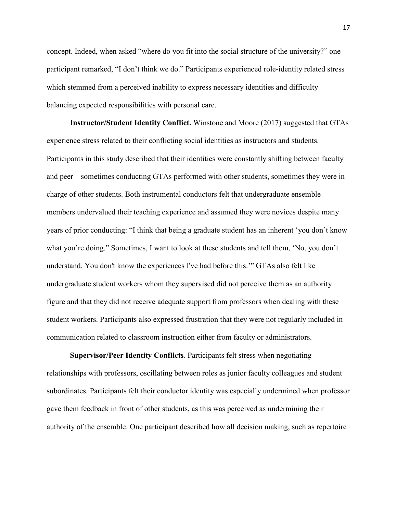concept. Indeed, when asked "where do you fit into the social structure of the university?" one participant remarked, "I don't think we do." Participants experienced role-identity related stress which stemmed from a perceived inability to express necessary identities and difficulty balancing expected responsibilities with personal care.

**Instructor/Student Identity Conflict.** Winstone and Moore (2017) suggested that GTAs experience stress related to their conflicting social identities as instructors and students. Participants in this study described that their identities were constantly shifting between faculty and peer—sometimes conducting GTAs performed with other students, sometimes they were in charge of other students. Both instrumental conductors felt that undergraduate ensemble members undervalued their teaching experience and assumed they were novices despite many years of prior conducting: "I think that being a graduate student has an inherent 'you don't know what you're doing." Sometimes, I want to look at these students and tell them, 'No, you don't understand. You don't know the experiences I've had before this.'" GTAs also felt like undergraduate student workers whom they supervised did not perceive them as an authority figure and that they did not receive adequate support from professors when dealing with these student workers. Participants also expressed frustration that they were not regularly included in communication related to classroom instruction either from faculty or administrators. The study described that their identities were constant<br>times conducting GTAs performed with other studes<br>students. Both instrumental conductors felt that unde<br>valued their teaching experience and assumed they wonducting: Both instrumental conductors felt that undergradualized in teaching experience and assumed they were not "I think that being a graduate student has an inheritimes, I want to look at these students and tell the wave the exp mes conducting GTAs performed with other students, sometimes they were in<br>dents. Both instrumental conductors felt that undergraduate ensemble<br>ucd their teaching experience and assumed they were novices despite many<br>luctin

**Supervisor/Peer Identity Conflicts**. Participants felt stress when negotiating relationships with professors, oscillating between roles as junior faculty colleagues and student subordinates. Participants felt their conductor identity was especially undermined when professor gave them feedback in front of other students, as this was perceived as undermining their authority of the ensemble. One participant described how all decision making, such as repertoire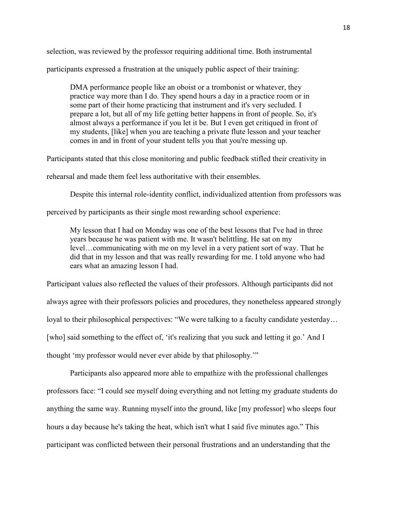selection, was reviewed by the professor requiring additional time. Both instrumental

participants expressed a frustration at the uniquely public aspect of their training:

DMA performance people like an oboist or a trombonist or whatever, they practice way more than I do. They spend hours a day in a practice room or in some part of their home practicing that instrument and it's very secluded. I prepare a lot, but all of my life getting better happens in front of people. So, it's almost always a performance if you let it be. But I even get critiqued in front of my students, [like] when you are teaching a private flute lesson and your teacher comes in and in front of your student tells you that you're messing up.

Participants stated that this close monitoring and public feedback stifled their creativity in

rehearsal and made them feel less authoritative with their ensembles.

Despite this internal role-identity conflict, individualized attention from professors was

perceived by participants as their single most rewarding school experience:

My lesson that I had on Monday was one of the best lessons that I've had in three years because he was patient with me. It wasn't belittling. He sat on my level…communicating with me on my level in a very patient sort of way. That he did that in my lesson and that was really rewarding for me. I told anyone who had ears what an amazing lesson I had. ed them feel less authoritative with their ensembles<br>ade them feel less authoritative with their ensembles<br>this internal role-identity conflict, individualized atter<br>tricipants as their single most rewarding school expe<br>on

Participant values also reflected the values of their professors. Although participants did not always agree with their professors policies and procedures, they nonetheless appeared strongly loyal to their philosophical perspectives: "We were talking to a faculty candidate yesterday... [who] said something to the effect of, 'it's realizing that you suck and letting it go.' And I thought 'my professor would never ever abide by that philosophy.'" al role-identity conflict, individualized attention f<br>as their single most rewarding school experience:<br>dd on Monday was one of the best lessons that I've<br>vas patient with me. It wasn't belittling. He sat on<br>thing with me them feel less authoritative with their ensembles.<br>
internal role-identity conflict, individualized attention from professors was<br>
ripants as their single most rewarding school experience:<br>
that I had on Monday was one of

Participants also appeared more able to empathize with the professional challenges professors face: "I could see myself doing everything and not letting my graduate students do anything the same way. Running myself into the ground, like [my professor] who sleeps four hours a day because he's taking the heat, which isn't what I said five minutes ago." This participant was conflicted between their personal frustrations and an understanding that the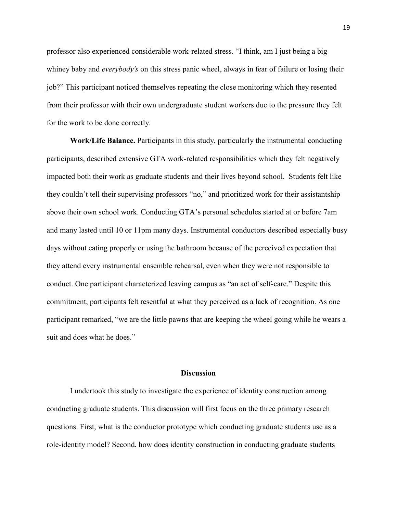professor also experienced considerable work-related stress. "I think, am I just being a big whiney baby and *everybody's* on this stress panic wheel, always in fear of failure or losing their job?" This participant noticed themselves repeating the close monitoring which they resented from their professor with their own undergraduate student workers due to the pressure they felt for the work to be done correctly.

**Work/Life Balance.** Participants in this study, particularly the instrumental conducting participants, described extensive GTA work-related responsibilities which they felt negatively impacted both their work as graduate students and their lives beyond school. Students felt like they couldn't tell their supervising professors "no," and prioritized work for their assistantship above their own school work. Conducting GTA's personal schedules started at or before 7am and many lasted until 10 or 11pm many days. Instrumental conductors described especially busy days without eating properly or using the bathroom because of the perceived expectation that they attend every instrumental ensemble rehearsal, even when they were not responsible to conduct. One participant characterized leaving campus as "an act of self-care." Despite this commitment, participants felt resentful at what they perceived as a lack of recognition. As one participant remarked, "we are the little pawns that are keeping the wheel going while he wears a suit and does what he does." Secribed extensive GTA work-related responsibilities<br>heir work as graduate students and their lives beyond<br>ll their supervising professors "no," and prioritized v<br>school work. Conducting GTA's personal schedules<br>l until 10 ervising professors "no," and prioritized work for<br>ork. Conducting GTA's personal schedules started<br>or 11pm many days. Instrumental conductors described<br>the perceive ental ensemble rehearsal, even when they were no<br>that en The students and their lives beyond school. Students felt like<br>their supervising professors "no," and prioritized work for their assistantship<br>thool work. Conducting GTA's personal schedules started at or before 7am<br>ntil 1

# **Discussion**

 I undertook this study to investigate the experience of identity construction among conducting graduate students. This discussion will first focus on the three primary research questions. First, what is the conductor prototype which conducting graduate students use as a role-identity model? Second, how does identity construction in conducting graduate students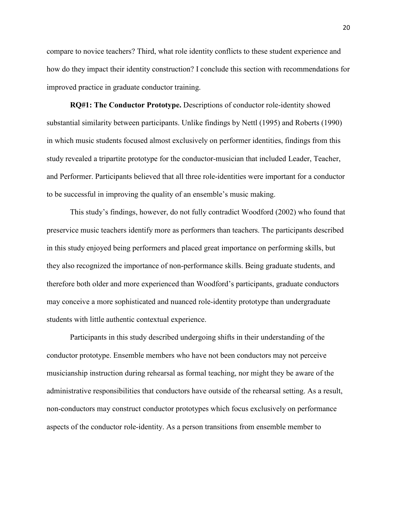compare to novice teachers? Third, what role identity conflicts to these student experience and how do they impact their identity construction? I conclude this section with recommendations for improved practice in graduate conductor training.

**RQ#1: The Conductor Prototype.** Descriptions of conductor role-identity showed substantial similarity between participants. Unlike findings by Nettl (1995) and Roberts (1990) in which music students focused almost exclusively on performer identities, findings from this study revealed a tripartite prototype for the conductor-musician that included Leader, Teacher, and Performer. Participants believed that all three role-identities were important for a conductor to be successful in improving the quality of an ensemble's music making.

This study's findings, however, do not fully contradict Woodford (2002) who found that preservice music teachers identify more as performers than teachers. The participants described in this study enjoyed being performers and placed great importance on performing skills, but they also recognized the importance of non-performance skills. Being graduate students, and therefore both older and more experienced than Woodford's participants, graduate conductors may conceive a more sophisticated and nuanced role-identity prototype than undergraduate students with little authentic contextual experience. Participants believed that all three role-identities were in improving the quality of an ensemble's music may's findings, however, do not fully contradict Wood c teachers identify more as performers than teachers.<br>Oyed bei ing the quality of an ensemble's music making.<br>
ggs, however, do not fully contradict Woodford (2<br>
identify more as performers than teachers. The pa<br>
g performers and placed great importance on perf<br>
mportance of non-perfo ticipants believed that all three role-identities were important for a conductor<br>improving the quality of an ensemble's music making.<br>S findings, however, do not fully contradict Woodford (2002) who found that<br>cachers iden

Participants in this study described undergoing shifts in their understanding of the conductor prototype. Ensemble members who have not been conductors may not perceive musicianship instruction during rehearsal as formal teaching, nor might they be aware of the administrative responsibilities that conductors have outside of the rehearsal setting. As a result, non-conductors may construct conductor prototypes which focus exclusively on performance aspects of the conductor role-identity. As a person transitions from ensemble member to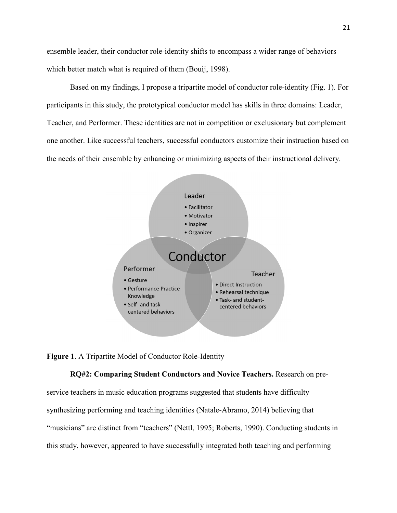ensemble leader, their conductor role-identity shifts to encompass a wider range of behaviors which better match what is required of them (Bouij, 1998).

Based on my findings, I propose a tripartite model of conductor role-identity (Fig. 1). For participants in this study, the prototypical conductor model has skills in three domains: Leader, Teacher, and Performer. These identities are not in competition or exclusionary but complement one another. Like successful teachers, successful conductors customize their instruction based on the needs of their ensemble by enhancing or minimizing aspects of their instructional delivery.



**Figure 1**. A Tripartite Model of Conductor Role-Identity

**RQ#2: Comparing Student Conductors and Novice Teachers.** Research on preservice teachers in music education programs suggested that students have difficulty synthesizing performing and teaching identities (Natale-Abramo, 2014) believing that "musicians" are distinct from "teachers" (Nettl, 1995; Roberts, 1990). Conducting students in this study, however, appeared to have successfully integrated both teaching and performing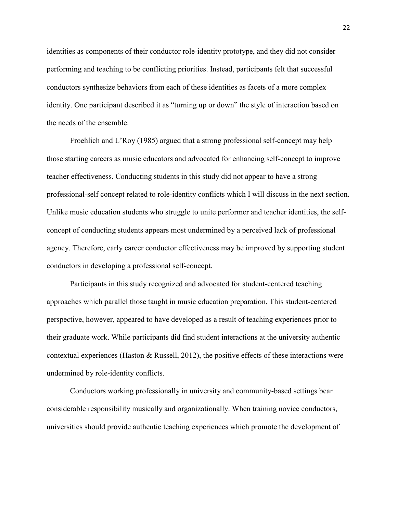identities as components of their conductor role-identity prototype, and they did not consider performing and teaching to be conflicting priorities. Instead, participants felt that successful conductors synthesize behaviors from each of these identities as facets of a more complex identity. One participant described it as "turning up or down" the style of interaction based on the needs of the ensemble.

Froehlich and L'Roy (1985) argued that a strong professional self-concept may help those starting careers as music educators and advocated for enhancing self-concept to improve teacher effectiveness. Conducting students in this study did not appear to have a strong professional-self concept related to role-identity conflicts which I will discuss in the next section. Unlike music education students who struggle to unite performer and teacher identities, the selfconcept of conducting students appears most undermined by a perceived lack of professional agency. Therefore, early career conductor effectiveness may be improved by supporting student conductors in developing a professional self-concept. reers as music educators and advocated for enhancement eness. Conducting students in this study did not appert<br>f concept related to role-identity conflicts which I will ucation students who struggle to unite performer and<br> related to role-identity conflicts which I will discussed<br>udents who struggle to unite performer and teach<br>dents appears most undermined by a perceived laction<br>are conductor effectiveness may be improved by<br>a professional sess. Conducting students in this study did not appear to have a strong<br>oncept related to role-identity conflicts which I will discuss in the next section.<br>ation students who struggle to unite performer and teacher identit

Participants in this study recognized and advocated for student-centered teaching approaches which parallel those taught in music education preparation. This student-centered perspective, however, appeared to have developed as a result of teaching experiences prior to their graduate work. While participants did find student interactions at the university authentic contextual experiences (Haston  $\&$  Russell, 2012), the positive effects of these interactions were undermined by role-identity conflicts.

Conductors working professionally in university and community-based settings bear considerable responsibility musically and organizationally. When training novice conductors, universities should provide authentic teaching experiences which promote the development of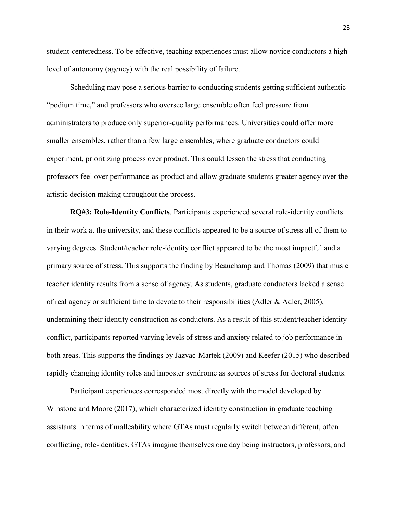student-centeredness. To be effective, teaching experiences must allow novice conductors a high level of autonomy (agency) with the real possibility of failure.

Scheduling may pose a serious barrier to conducting students getting sufficient authentic "podium time," and professors who oversee large ensemble often feel pressure from administrators to produce only superior-quality performances. Universities could offer more smaller ensembles, rather than a few large ensembles, where graduate conductors could experiment, prioritizing process over product. This could lessen the stress that conducting professors feel over performance-as-product and allow graduate students greater agency over the artistic decision making throughout the process.

**RQ#3: Role-Identity Conflicts**. Participants experienced several role-identity conflicts in their work at the university, and these conflicts appeared to be a source of stress all of them to varying degrees. Student/teacher role-identity conflict appeared to be the most impactful and a primary source of stress. This supports the finding by Beauchamp and Thomas (2009) that music teacher identity results from a sense of agency. As students, graduate conductors lacked a sense of real agency or sufficient time to devote to their responsibilities (Adler & Adler, 2005), undermining their identity construction as conductors. As a result of this student/teacher identity conflict, participants reported varying levels of stress and anxiety related to job performance in both areas. This supports the findings by Jazvac-Martek (2009) and Keefer (2015) who described rapidly changing identity roles and imposter syndrome as sources of stress for doctoral students. DENITY THILTING Process over product. This could lessen the external prover performance-as-product and allow graduate student and allow graduate studentity Conflicts. Participants experienced set the university, and these roughout the process.<br>
ity Conflicts. Participants experienced several resity, and these conflicts appeared to be a source of<br>
eacher role-identity conflict appeared to be the m<br>
his supports the finding by Beauchamp and T extra performance-as-product and allow graduate students greater agency over the aking throughout the process.<br> **Ele-Identity Conflicts.** Participants experienced several role-identity conflicts<br>
at university, and these c

Participant experiences corresponded most directly with the model developed by Winstone and Moore (2017), which characterized identity construction in graduate teaching assistants in terms of malleability where GTAs must regularly switch between different, often conflicting, role-identities. GTAs imagine themselves one day being instructors, professors, and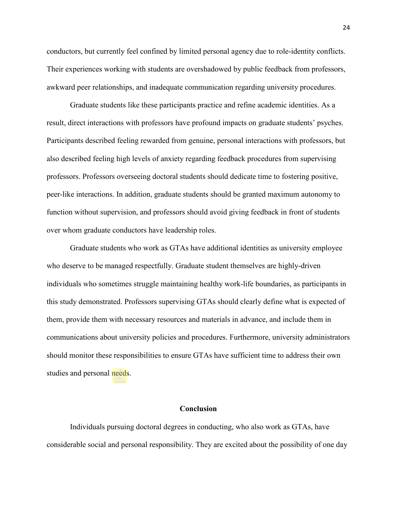conductors, but currently feel confined by limited personal agency due to role-identity conflicts. Their experiences working with students are overshadowed by public feedback from professors, awkward peer relationships, and inadequate communication regarding university procedures.

Graduate students like these participants practice and refine academic identities. As a result, direct interactions with professors have profound impacts on graduate students' psyches. Participants described feeling rewarded from genuine, personal interactions with professors, but also described feeling high levels of anxiety regarding feedback procedures from supervising professors. Professors overseeing doctoral students should dedicate time to fostering positive, peer-like interactions. In addition, graduate students should be granted maximum autonomy to function without supervision, and professors should avoid giving feedback in front of students over whom graduate conductors have leadership roles. Example 1988 of anxiety regarding leedback processors overseeing doctoral students should dedicate that<br>
essors overseeing doctoral students should be grant<br>
t supervision, and professors should avoid giving fee<br>
that cond

 Graduate students who work as GTAs have additional identities as university employee who deserve to be managed respectfully. Graduate student themselves are highly-driven individuals who sometimes struggle maintaining healthy work-life boundaries, as participants in this study demonstrated. Professors supervising GTAs should clearly define what is expected of them, provide them with necessary resources and materials in advance, and include them in communications about university policies and procedures. Furthermore, university administrators should monitor these responsibilities to ensure GTAs have sufficient time to address their own studies and personal needs. ddition, graduate students should be granted max<br>on, and professors should avoid giving feedback<br>uctors have leadership roles.<br>who work as GTAs have additional identities as used<br>respectfully. Graduate student themselves a Francescore and students should dedicate time to fostering positive,<br>
Sons. In addition, graduate students should be granted maximum autonomy to<br>
upervision, and professors should avoid giving feedback in front of students

### **Conclusion**

Individuals pursuing doctoral degrees in conducting, who also work as GTAs, have considerable social and personal responsibility. They are excited about the possibility of one day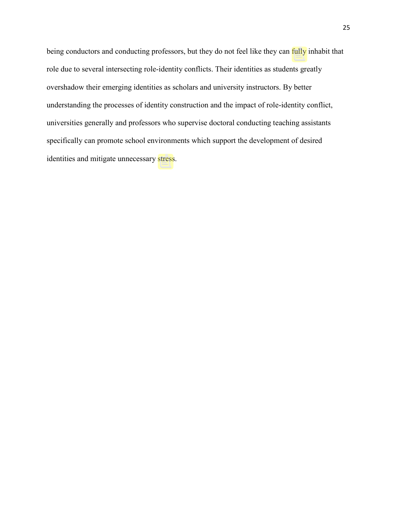being conductors and conducting professors, but they do not feel like they can *fully* inhabit that role due to several intersecting role-identity conflicts. Their identities as students greatly overshadow their emerging identities as scholars and university instructors. By better understanding the processes of identity construction and the impact of role-identity conflict, universities generally and professors who supervise doctoral conducting teaching assistants specifically can promote school environments which support the development of desired identities and mitigate unnecessary stress. Preparation of the College of C) William Southerland

Original Birls

25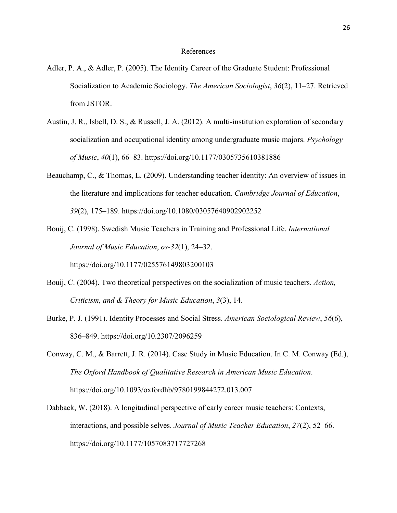# References

- Adler, P. A., & Adler, P. (2005). The Identity Career of the Graduate Student: Professional Socialization to Academic Sociology. *The American Sociologist*, *36*(2), 11–27. Retrieved from JSTOR.
- Austin, J. R., Isbell, D. S., & Russell, J. A. (2012). A multi-institution exploration of secondary socialization and occupational identity among undergraduate music majors. *Psychology of Music*, *40*(1), 66–83. https://doi.org/10.1177/0305735610381886
- Beauchamp, C., & Thomas, L. (2009). Understanding teacher identity: An overview of issues in the literature and implications for teacher education. *Cambridge Journal of Education*, *39*(2), 175–189. https://doi.org/10.1080/03057640902902252  $(40)(1)$ , 60–63. https://doi.org/10.117//0505735010.<br>
& Thomas, L. (2009). Understanding teacher identitive and implications for teacher education. *Cambria*<br>
75–189. https://doi.org/10.1080/03057640902902252<br>
2. Swedish Thomas, L. (2009). Understanding teacher identity: An overview of issues in<br>
re and implications for teacher education. Cambridge Journal of Education,<br>
189. https://doi.org/10.1080/03057640902902252<br>
Swedish Music Teacher
- Bouij, C. (1998). Swedish Music Teachers in Training and Professional Life. *International Journal of Music Education*, *os-32*(1), 24–32. https://doi.org/10.1177/025576149803200103 mplications for teacher education. Cambridge Jou<br>tps://doi.org/10.1080/03057640902902252<br>Music Teachers in Training and Professional Lif<br>Education, os-32(1), 24-32.<br>1177/025576149803200103<br>oretical perspectives on the soci
- Bouij, C. (2004). Two theoretical perspectives on the socialization of music teachers. *Action, Criticism, and & Theory for Music Education*, *3*(3), 14.
- Burke, P. J. (1991). Identity Processes and Social Stress. *American Sociological Review*, *56*(6), 836–849. https://doi.org/10.2307/2096259
- Conway, C. M., & Barrett, J. R. (2014). Case Study in Music Education. In C. M. Conway (Ed.), *The Oxford Handbook of Qualitative Research in American Music Education*. https://doi.org/10.1093/oxfordhb/9780199844272.013.007
- Dabback, W. (2018). A longitudinal perspective of early career music teachers: Contexts, interactions, and possible selves. *Journal of Music Teacher Education*, *27*(2), 52–66. https://doi.org/10.1177/1057083717727268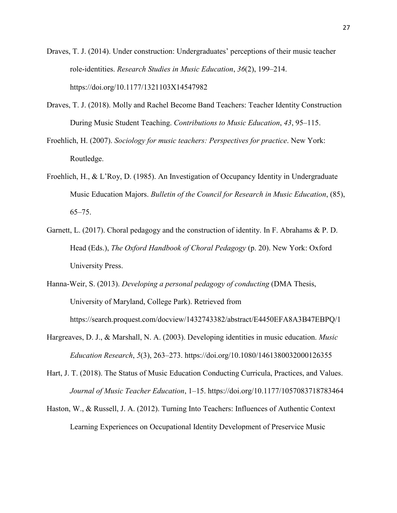Draves, T. J. (2014). Under construction: Undergraduates' perceptions of their music teacher role-identities. *Research Studies in Music Education*, *36*(2), 199–214. https://doi.org/10.1177/1321103X14547982

- Draves, T. J. (2018). Molly and Rachel Become Band Teachers: Teacher Identity Construction During Music Student Teaching. *Contributions to Music Education*, *43*, 95–115.
- Froehlich, H. (2007). *Sociology for music teachers: Perspectives for practice*. New York: Routledge.
- Froehlich, H., & L'Roy, D. (1985). An Investigation of Occupancy Identity in Undergraduate Music Education Majors. *Bulletin of the Council for Research in Music Education*, (85), 65–75. EXECTIVE CONTROLL CONTROLL CONTROLL CONTROLL CONTROLL CONTROLL AND MANUSCONDUCT CONTROLL CONTROLL CONTROLL CONTROLL CONTROLL CONTROLL CONTROLL CONTROLL CONTROLL CONTROLL CONTROLL CONTROLL CONTROLL CONTROLL CONTROLL CONTROL TROY, D. (1985). An Investigation of Occupancy Identity in Undergraduate<br>
cation Majors. *Bulletin of the Council for Research in Music Education*, (85),<br>
Choral pedagogy and the construction of identity. In F. Abrahams &
- Garnett, L. (2017). Choral pedagogy and the construction of identity. In F. Abrahams & P. D. Head (Eds.), *The Oxford Handbook of Choral Pedagogy* (p. 20). New York: Oxford University Press. Majors. Bulletin of the Council for Research in Mu<br>
pedagogy and the construction of identity. In F.<br>
Dxford Handbook of Choral Pedagogy (p. 20). Networking<br>
personal pedagogy of conducting (DI<br>
pland, College Park). Retri
- Hanna-Weir, S. (2013). *Developing a personal pedagogy of conducting* (DMA Thesis, University of Maryland, College Park). Retrieved from

https://search.proquest.com/docview/1432743382/abstract/E4450EFA8A3B47EBPQ/1

- Hargreaves, D. J., & Marshall, N. A. (2003). Developing identities in music education. *Music Education Research*, *5*(3), 263–273. https://doi.org/10.1080/1461380032000126355
- Hart, J. T. (2018). The Status of Music Education Conducting Curricula, Practices, and Values. *Journal of Music Teacher Education*, 1–15. https://doi.org/10.1177/1057083718783464
- Haston, W., & Russell, J. A. (2012). Turning Into Teachers: Influences of Authentic Context Learning Experiences on Occupational Identity Development of Preservice Music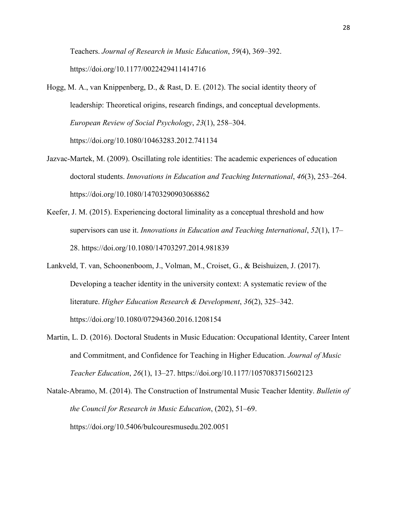Teachers. *Journal of Research in Music Education*, *59*(4), 369–392. https://doi.org/10.1177/0022429411414716

- Hogg, M. A., van Knippenberg, D., & Rast, D. E. (2012). The social identity theory of leadership: Theoretical origins, research findings, and conceptual developments. *European Review of Social Psychology*, *23*(1), 258–304. https://doi.org/10.1080/10463283.2012.741134
- Jazvac‐Martek, M. (2009). Oscillating role identities: The academic experiences of education doctoral students. *Innovations in Education and Teaching International*, *46*(3), 253–264. https://doi.org/10.1080/14703290903068862
- Keefer, J. M. (2015). Experiencing doctoral liminality as a conceptual threshold and how supervisors can use it. *Innovations in Education and Teaching International*, *52*(1), 17– 28. https://doi.org/10.1080/14703297.2014.981839
- Lankveld, T. van, Schoonenboom, J., Volman, M., Croiset, G., & Beishuizen, J. (2017). Developing a teacher identity in the university context: A systematic review of the literature. *Higher Education Research & Development*, *36*(2), 325–342. https://doi.org/10.1080/07294360.2016.1208154 M. (2009). Oscinating role identities: The academic<br>students. *Innovations in Education and Teaching Incolory* 10.1080/14703290903068862<br>015). Experiencing doctoral liminality as a conceptu<br>ors can use it. *Innovations in* 1080/14703290903068862<br>
eriencing doctoral liminality as a conceptual thres<br>
e it. Innovations in Education and Teaching Inter.<br>
10.1080/14703297.2014.981839<br>
enboom, J., Volman, M., Croiset, G., & Beishuize<br>
eridentity in udents. Innovations in Education and Teaching International, 46(3), 253-264.<br>
org/10.1080/14703290903068862<br>
5). Experiencing doctoral liminality as a conceptual threshold and how<br>
sean use it. Innovations in Education and
- Martin, L. D. (2016). Doctoral Students in Music Education: Occupational Identity, Career Intent and Commitment, and Confidence for Teaching in Higher Education. *Journal of Music Teacher Education*, *26*(1), 13–27. https://doi.org/10.1177/1057083715602123
- Natale-Abramo, M. (2014). The Construction of Instrumental Music Teacher Identity. *Bulletin of the Council for Research in Music Education*, (202), 51–69. https://doi.org/10.5406/bulcouresmusedu.202.0051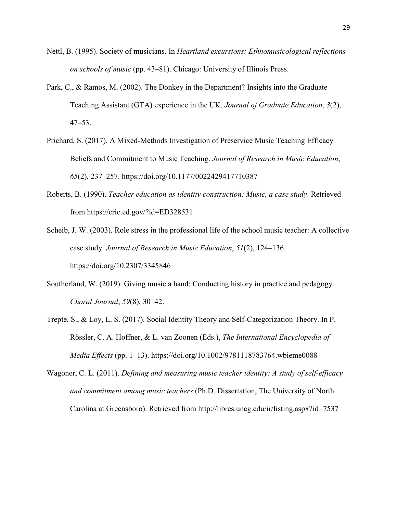- Nettl, B. (1995). Society of musicians. In *Heartland excursions: Ethnomusicological reflections on schools of music* (pp. 43–81). Chicago: University of Illinois Press.
- Park, C., & Ramos, M. (2002). The Donkey in the Department? Insights into the Graduate Teaching Assistant (GTA) experience in the UK. *Journal of Graduate Education*, *3*(2), 47–53.
- Prichard, S. (2017). A Mixed-Methods Investigation of Preservice Music Teaching Efficacy Beliefs and Commitment to Music Teaching. *Journal of Research in Music Education*, *65*(2), 237–257. https://doi.org/10.1177/0022429417710387
- Roberts, B. (1990). *Teacher education as identity construction: Music, a case study*. Retrieved from https://eric.ed.gov/?id=ED328531
- Scheib, J. W. (2003). Role stress in the professional life of the school music teacher: A collective case study. *Journal of Research in Music Education*, *51*(2), 124–136. https://doi.org/10.2307/3345846 ma Communent to Music Teaching. Journal of Reserved 37–257. https://doi.org/10.1177/0022429417710387<br>
90). *Teacher education as identity construction: Mus*<br>
ps://eric.ed.gov/?id=ED328531<br>
003). Role stress in the professi er education as identity construction: Music, a ca<br>
1.gov/?id=ED328531<br>
e stress in the professional life of the school music<br>
1 of Research in Music Education, 51(2), 124–13<br>
2307/3345846<br>
Wiving music a hand: Conducting
- Southerland, W. (2019). Giving music a hand: Conducting history in practice and pedagogy. *Choral Journal*, *59*(8), 30–42.
- Trepte, S., & Loy, L. S. (2017). Social Identity Theory and Self-Categorization Theory. In P. Rössler, C. A. Hoffner, & L. van Zoonen (Eds.), *The International Encyclopedia of Media Effects* (pp. 1–13). https://doi.org/10.1002/9781118783764.wbieme0088 257. https://doi.org/10.1177/0022429417710387<br>
Teacher education as identity construction: Music, a case study. Retrieved<br>
1/cric.ed.gov/?id=ED328531<br>
3). Role stress in the professional life of the school music teacher: A
- Wagoner, C. L. (2011). *Defining and measuring music teacher identity: A study of self-efficacy and commitment among music teachers* (Ph.D. Dissertation, The University of North Carolina at Greensboro). Retrieved from http://libres.uncg.edu/ir/listing.aspx?id=7537